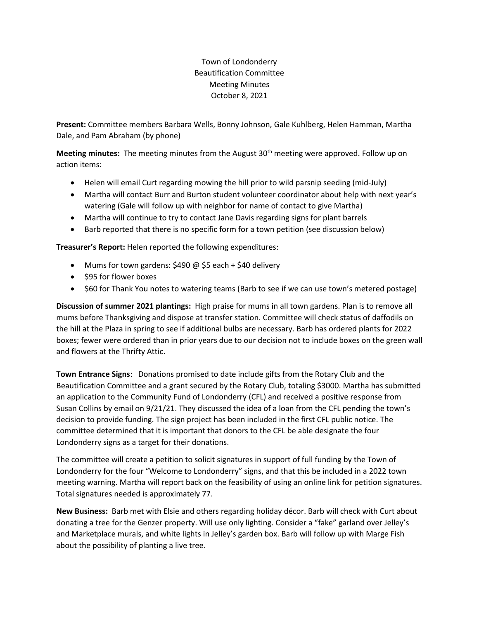## Town of Londonderry Beautification Committee Meeting Minutes October 8, 2021

**Present:** Committee members Barbara Wells, Bonny Johnson, Gale Kuhlberg, Helen Hamman, Martha Dale, and Pam Abraham (by phone)

Meeting minutes: The meeting minutes from the August 30<sup>th</sup> meeting were approved. Follow up on action items:

- Helen will email Curt regarding mowing the hill prior to wild parsnip seeding (mid-July)
- Martha will contact Burr and Burton student volunteer coordinator about help with next year's watering (Gale will follow up with neighbor for name of contact to give Martha)
- Martha will continue to try to contact Jane Davis regarding signs for plant barrels
- Barb reported that there is no specific form for a town petition (see discussion below)

**Treasurer's Report:** Helen reported the following expenditures:

- Mums for town gardens: \$490 @ \$5 each + \$40 delivery
- \$95 for flower boxes
- \$60 for Thank You notes to watering teams (Barb to see if we can use town's metered postage)

**Discussion of summer 2021 plantings:** High praise for mums in all town gardens. Plan is to remove all mums before Thanksgiving and dispose at transfer station. Committee will check status of daffodils on the hill at the Plaza in spring to see if additional bulbs are necessary. Barb has ordered plants for 2022 boxes; fewer were ordered than in prior years due to our decision not to include boxes on the green wall and flowers at the Thrifty Attic.

**Town Entrance Signs**: Donations promised to date include gifts from the Rotary Club and the Beautification Committee and a grant secured by the Rotary Club, totaling \$3000. Martha has submitted an application to the Community Fund of Londonderry (CFL) and received a positive response from Susan Collins by email on 9/21/21. They discussed the idea of a loan from the CFL pending the town's decision to provide funding. The sign project has been included in the first CFL public notice. The committee determined that it is important that donors to the CFL be able designate the four Londonderry signs as a target for their donations.

The committee will create a petition to solicit signatures in support of full funding by the Town of Londonderry for the four "Welcome to Londonderry" signs, and that this be included in a 2022 town meeting warning. Martha will report back on the feasibility of using an online link for petition signatures. Total signatures needed is approximately 77.

**New Business:** Barb met with Elsie and others regarding holiday décor. Barb will check with Curt about donating a tree for the Genzer property. Will use only lighting. Consider a "fake" garland over Jelley's and Marketplace murals, and white lights in Jelley's garden box. Barb will follow up with Marge Fish about the possibility of planting a live tree.